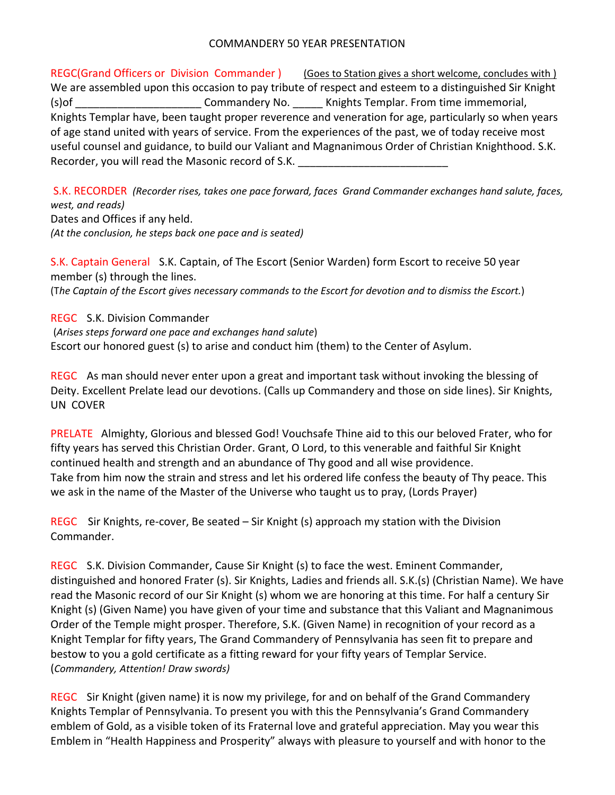## COMMANDERY 50 YEAR PRESENTATION

REGC(Grand Officers or Division Commander) (Goes to Station gives a short welcome, concludes with ) We are assembled upon this occasion to pay tribute of respect and esteem to a distinguished Sir Knight (s) of  $\blacksquare$  Commandery No.  $\blacksquare$  Knights Templar. From time immemorial, Knights Templar have, been taught proper reverence and veneration for age, particularly so when years of age stand united with years of service. From the experiences of the past, we of today receive most useful counsel and guidance, to build our Valiant and Magnanimous Order of Christian Knighthood. S.K. Recorder, you will read the Masonic record of S.K.

S.K. RECORDER *(Recorder rises, takes one pace forward, faces Grand Commander exchanges hand salute, faces, west, and reads)* Dates and Offices if any held. *(At the conclusion, he steps back one pace and is seated)*

S.K. Captain General S.K. Captain, of The Escort (Senior Warden) form Escort to receive 50 year member (s) through the lines. (The Captain of the Escort gives necessary commands to the Escort for devotion and to dismiss the Escort.)

REGC S.K. Division Commander (*Arises steps forward one pace and exchanges hand salute*) Escort our honored guest (s) to arise and conduct him (them) to the Center of Asylum.

REGC As man should never enter upon a great and important task without invoking the blessing of Deity. Excellent Prelate lead our devotions. (Calls up Commandery and those on side lines). Sir Knights, UN COVER

PRELATE Almighty, Glorious and blessed God! Vouchsafe Thine aid to this our beloved Frater, who for fifty years has served this Christian Order. Grant, O Lord, to this venerable and faithful Sir Knight continued health and strength and an abundance of Thy good and all wise providence. Take from him now the strain and stress and let his ordered life confess the beauty of Thy peace. This we ask in the name of the Master of the Universe who taught us to pray, (Lords Prayer)

REGC Sir Knights, re-cover, Be seated – Sir Knight (s) approach my station with the Division Commander.

REGC S.K. Division Commander, Cause Sir Knight (s) to face the west. Eminent Commander, distinguished and honored Frater (s). Sir Knights, Ladies and friends all. S.K.(s) (Christian Name). We have read the Masonic record of our Sir Knight (s) whom we are honoring at this time. For half a century Sir Knight (s) (Given Name) you have given of your time and substance that this Valiant and Magnanimous Order of the Temple might prosper. Therefore, S.K. (Given Name) in recognition of your record as a Knight Templar for fifty years, The Grand Commandery of Pennsylvania has seen fit to prepare and bestow to you a gold certificate as a fitting reward for your fifty years of Templar Service. (*Commandery, Attention! Draw swords)*

REGC Sir Knight (given name) it is now my privilege, for and on behalf of the Grand Commandery Knights Templar of Pennsylvania. To present you with this the Pennsylvania's Grand Commandery emblem of Gold, as a visible token of its Fraternal love and grateful appreciation. May you wear this Emblem in "Health Happiness and Prosperity" always with pleasure to yourself and with honor to the